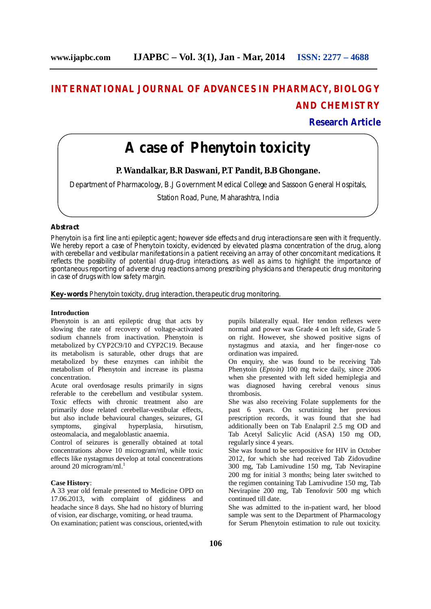# **INTERNATIONAL JOURNAL OF ADVANCES IN PHARMACY, BIOLOGY AND CHEMISTRY**

**Research Article**

# **A case of Phenytoin toxicity**

**P. Wandalkar, B.R Daswani, P.T Pandit, B.B Ghongane.**

Department of Pharmacology, B.J Government Medical College and Sassoon General Hospitals,

Station Road, Pune, Maharashtra, India

## **Abstract**

Phenytoin is a first line anti epileptic agent; however side effects and drug interactions are seen with it frequently. We hereby report a case of Phenytoin toxicity, evidenced by elevated plasma concentration of the drug, along with cerebellar and vestibular manifestations in a patient receiving an array of other concomitant medications. It reflects the possibility of potential drug-drug interactions, as well as aims to highlight the importance of spontaneous reporting of adverse drug reactions among prescribing physicians and therapeutic drug monitoring in case of drugs with low safety margin.

**Key-words**: Phenytoin toxicity, drug interaction, therapeutic drug monitoring.

### **Introduction**

Phenytoin is an anti epileptic drug that acts by slowing the rate of recovery of voltage-activated sodium channels from inactivation. Phenytoin is metabolized by CYP2C9/10 and CYP2C19. Because its metabolism is saturable, other drugs that are metabolized by these enzymes can inhibit the metabolism of Phenytoin and increase its plasma concentration.

Acute oral overdosage results primarily in signs referable to the cerebellum and vestibular system. Toxic effects with chronic treatment also are primarily dose related cerebellar-vestibular effects, but also include behavioural changes, seizures, GI symptoms, gingival hyperplasia, hirsutism, osteomalacia, and megaloblastic anaemia.

Control of seizures is generally obtained at total concentrations above 10 microgram/ml, while toxic effects like nystagmus develop at total concentrations around 20 microgram/ml. $^{1}$ 

#### **Case History**:

A 33 year old female presented to Medicine OPD on 17.06.2013, with complaint of giddiness and headache since 8 days. She had no history of blurring of vision, ear discharge, vomiting, or head trauma. On examination; patient was conscious, oriented,with

pupils bilaterally equal. Her tendon reflexes were normal and power was Grade 4 on left side, Grade 5 on right. However, she showed positive signs of nystagmus and ataxia, and her finger-nose co ordination was impaired.

On enquiry, she was found to be receiving Tab Phenytoin (*Eptoin)* 100 mg twice daily, since 2006 when she presented with left sided hemiplegia and was diagnosed having cerebral venous sinus thrombosis.

She was also receiving Folate supplements for the past 6 years. On scrutinizing her previous prescription records, it was found that she had additionally been on Tab Enalapril 2.5 mg OD and Tab Acetyl Salicylic Acid (ASA) 150 mg OD, regularly since 4 years.

She was found to be seropositive for HIV in October 2012, for which she had received Tab Zidovudine 300 mg, Tab Lamivudine 150 mg, Tab Nevirapine 200 mg for initial 3 months; being later switched to the regimen containing Tab Lamivudine 150 mg, Tab Nevirapine 200 mg, Tab Tenofovir 500 mg which continued till date.

She was admitted to the in-patient ward, her blood sample was sent to the Department of Pharmacology for Serum Phenytoin estimation to rule out toxicity.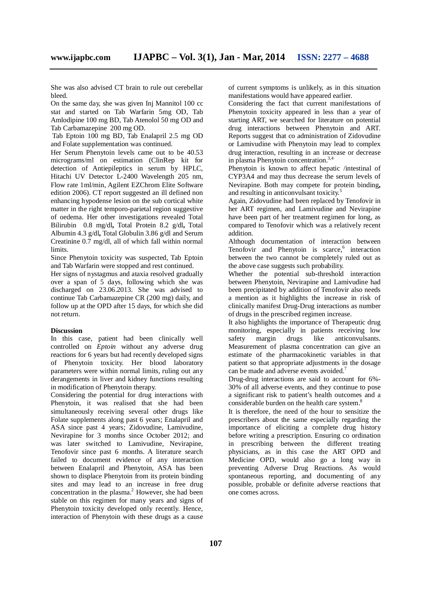She was also advised CT brain to rule out cerebellar bleed.

On the same day, she was given Inj Mannitol 100 cc stat and started on Tab Warfarin 5mg OD, Tab Amlodipine 100 mg BD, Tab Atenolol 50 mg OD and Tab Carbamazepine 200 mg OD.

Tab Eptoin 100 mg BD, Tab Enalapril 2.5 mg OD and Folate supplementation was continued.

Her Serum Phenytoin levels came out to be 40.53 micrograms/ml on estimation (ClinRep kit for detection of Antiepileptics in serum by HPLC, Hitachi UV Detector L-2400 Wavelength 205 nm, Flow rate 1ml/min, Agilent EZChrom Elite Software edition 2006). CT report suggested an ill defined non enhancing hypodense lesion on the sub cortical white matter in the right temporo-parietal region suggestive of oedema. Her other investigations revealed Total Bilirubin 0.8 mg/dl**,** Total Protein 8.2 g/dl**,** Total Albumin 4.3 g/dl**,** Total Globulin 3.86 g/dl and Serum Creatinine 0.7 mg/dl, all of which fall within normal limits.

Since Phenytoin toxicity was suspected, Tab Eptoin and Tab Warfarin were stopped and rest continued.

Her signs of nystagmus and ataxia resolved gradually over a span of 5 days, following which she was discharged on 23.06.2013. She was advised to continue Tab Carbamazepine CR (200 mg) daily, and follow up at the OPD after 15 days, for which she did not return.

#### **Discussion**

In this case, patient had been clinically well controlled on *Eptoin* without any adverse drug reactions for 6 years but had recently developed signs of Phenytoin toxicity. Her blood laboratory parameters were within normal limits, ruling out any derangements in liver and kidney functions resulting in modification of Phenytoin therapy.

Considering the potential for drug interactions with Phenytoin, it was realised that she had been simultaneously receiving several other drugs like Folate supplements along past 6 years; Enalapril and ASA since past 4 years; Zidovudine, Lamivudine, Nevirapine for 3 months since October 2012; and was later switched to Lamivudine, Nevirapine, Tenofovir since past 6 months. A literature search failed to document evidence of any interaction between Enalapril and Phenytoin, ASA has been shown to displace Phenytoin from its protein binding sites and may lead to an increase in free drug concentration in the plasma.<sup>2</sup> However, she had been stable on this regimen for many years and signs of Phenytoin toxicity developed only recently. Hence, interaction of Phenytoin with these drugs as a cause

of current symptoms is unlikely, as in this situation manifestations would have appeared earlier.

Considering the fact that current manifestations of Phenytoin toxicity appeared in less than a year of starting ART, we searched for literature on potential drug interactions between Phenytoin and ART. Reports suggest that co administration of Zidovudine or Lamivudine with Phenytoin may lead to complex drug interaction, resulting in an increase or decrease in plasma Phenytoin concentration.<sup>3,4</sup>

Phenytoin is known to affect hepatic /intestinal of CYP3A4 and may thus decrease the serum levels of Nevirapine. Both may compete for protein binding**,** and resulting in anticonvulsant toxicity.<sup>5</sup>

Again, Zidovudine had been replaced by Tenofovir in her ART regimen, and Lamivudine and Nevirapine have been part of her treatment regimen for long, as compared to Tenofovir which was a relatively recent addition.

Although documentation of interaction between Tenofovir and Phenytoin is scarce,<sup>6</sup> interaction between the two cannot be completely ruled out as the above case suggests such probability.

Whether the potential sub-threshold interaction between Phenytoin, Nevirapine and Lamivudine had been precipitated by addition of Tenofovir also needs a mention as it highlights the increase in risk of clinically manifest Drug-Drug interactions as number of drugs in the prescribed regimen increase.

It also highlights the importance of Therapeutic drug monitoring, especially in patients receiving low safety margin drugs like anticonvulsants. Measurement of plasma concentration can give an estimate of the pharmacokinetic variables in that patient so that appropriate adjustments in the dosage can be made and adverse events avoided.<sup>7</sup>

Drug-drug interactions are said to account for 6%- 30% of all adverse events, and they continue to pose a significant risk to patient's health outcomes and a considerable burden on the health care system.<sup>8</sup>

It is therefore, the need of the hour to sensitize the prescribers about the same especially regarding the importance of eliciting a complete drug history before writing a prescription. Ensuring co ordination in prescribing between the different treating physicians, as in this case the ART OPD and Medicine OPD, would also go a long way in preventing Adverse Drug Reactions. As would spontaneous reporting, and documenting of any possible, probable or definite adverse reactions that one comes across.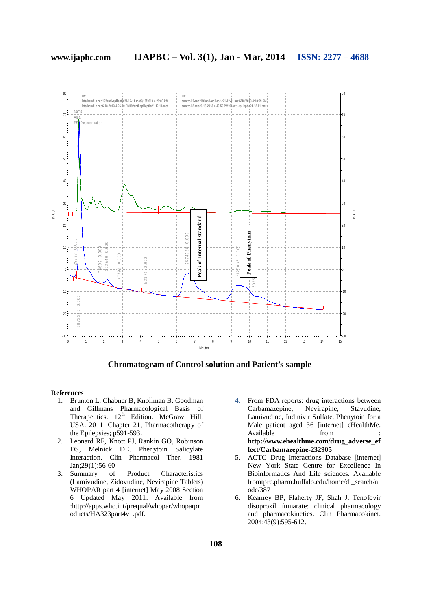

 **Chromatogram of Control solution and Patient's sample**

#### **References**

- 1. Brunton L, Chabner B, Knollman B. Goodman and Gillmans Pharmacological Basis of Therapeutics.  $12<sup>th</sup>$  Edition. McGraw Hill, USA. 2011. Chapter 21, Pharmacotherapy of the Epilepsies; p591-593.
- 2. Leonard RF, Knott PJ, Rankin GO, Robinson DS, Melnick DE. Phenytoin Salicylate Interaction. Clin Pharmacol Ther. 1981 Jan;29(1):56-60
- 3. Summary of Product Characteristics (Lamivudine, Zidovudine, Nevirapine Tablets) WHOPAR part 4 [internet] May 2008 Section 6 Updated May 2011. Available from :http://apps.who.int/prequal/whopar/whoparpr oducts/HA323part4v1.pdf.
- **4.** From FDA reports: drug interactions between<br>Carbamazepine, Nevirapine, Stavudine, Carbamazepine, Lamivudine, Indinivir Sulfate, Phenytoin for a Male patient aged 36 [internet] eHealthMe. Available **from http://www.ehealthme.com/drug\_adverse\_ef fect/Carbamazepine-232905**
- 5. ACTG Drug Interactions Database [internet] New York State Centre for Excellence In Bioinformatics And Life sciences. Available fromtprc.pharm.buffalo.edu/home/di\_search/n ode/387
- 6. Kearney BP, Flaherty JF, Shah J. Tenofovir disoproxil fumarate: clinical pharmacology and pharmacokinetics. Clin Pharmacokinet. 2004;43(9):595-612.